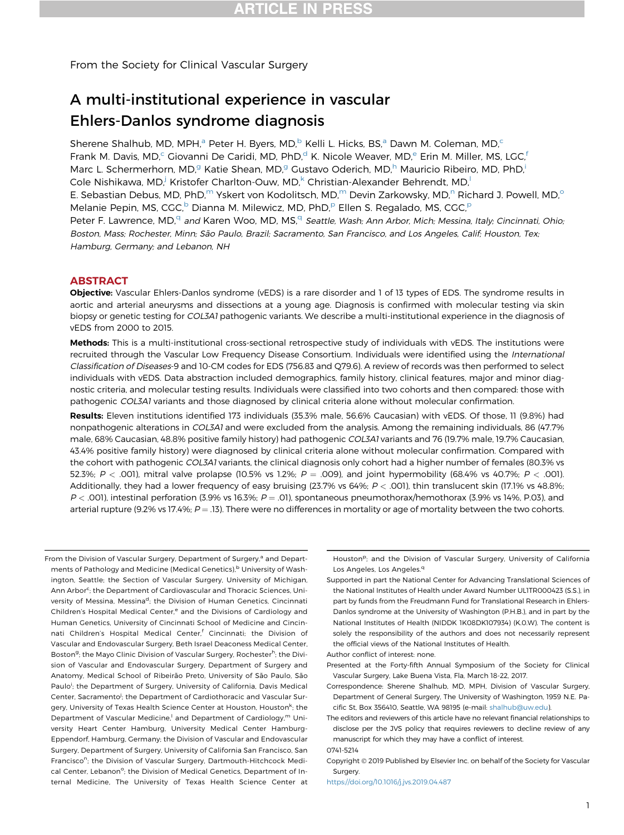From the Society for Clinical Vascular Surgery

# A multi-institutional experience in vascular Ehlers-Danlos syndrome diagnosis

Sherene Shalhub, MD, MPH,<sup>a</sup> Peter H. Byers, MD,<sup>b</sup> Kelli L. Hicks, BS,<sup>a</sup> Dawn M. Coleman, MD,<sup>c</sup> Frank M. Davis, MD,<sup>c</sup> Giovanni De Caridi, MD, PhD,<sup>d</sup> K. Nicole Weaver, MD,<sup>e</sup> Erin M. Miller, MS, LGC,<sup>f</sup> Marc L. Schermerhorn, MD,<sup>g</sup> Katie Shean, MD,<sup>g</sup> Gustavo Oderich, MD,<sup>h</sup> Mauricio Ribeiro, MD, PhD,<sup>i</sup> Cole Nishikawa, MD,<sup>j</sup> Kristofer Charlton-Ouw, MD,<sup>k</sup> Christian-Alexander Behrendt, MD, E. Sebastian Debus, MD, PhD,<sup>m</sup> Yskert von Kodolitsch, MD,<sup>m</sup> Devin Zarkowsky, MD,<sup>n</sup> Richard J. Powell, MD,<sup>o</sup> Melanie Pepin, MS, CGC,<sup>b</sup> Dianna M. Milewicz, MD, PhD,<sup>p</sup> Ellen S. Regalado, MS, CGC,<sup>p</sup> Peter F. Lawrence, MD,<sup>q</sup> and Karen Woo, MD, MS,<sup>q</sup> Seattle, Wash; Ann Arbor, Mich; Messina, Italy; Cincinnati, Ohio; Boston, Mass; Rochester, Minn; São Paulo, Brazil; Sacramento, San Francisco, and Los Angeles, Calif; Houston, Tex; Hamburg, Germany; and Lebanon, NH

## ABSTRACT

Objective: Vascular Ehlers-Danlos syndrome (vEDS) is a rare disorder and 1 of 13 types of EDS. The syndrome results in aortic and arterial aneurysms and dissections at a young age. Diagnosis is confirmed with molecular testing via skin biopsy or genetic testing for COL3A1 pathogenic variants. We describe a multi-institutional experience in the diagnosis of vEDS from 2000 to 2015.

Methods: This is a multi-institutional cross-sectional retrospective study of individuals with vEDS. The institutions were recruited through the Vascular Low Frequency Disease Consortium. Individuals were identified using the International Classification of Diseases-9 and 10-CM codes for EDS (756.83 and Q79.6). A review of records was then performed to select individuals with vEDS. Data abstraction included demographics, family history, clinical features, major and minor diagnostic criteria, and molecular testing results. Individuals were classified into two cohorts and then compared: those with pathogenic COL3A1 variants and those diagnosed by clinical criteria alone without molecular confirmation.

Results: Eleven institutions identified 173 individuals (35.3% male, 56.6% Caucasian) with vEDS. Of those, 11 (9.8%) had nonpathogenic alterations in COL3A1 and were excluded from the analysis. Among the remaining individuals, 86 (47.7% male, 68% Caucasian, 48.8% positive family history) had pathogenic COL3A1 variants and 76 (19.7% male, 19.7% Caucasian, 43.4% positive family history) were diagnosed by clinical criteria alone without molecular confirmation. Compared with the cohort with pathogenic COL3A1 variants, the clinical diagnosis only cohort had a higher number of females (80.3% vs 52.3%;  $P < .001$ ), mitral valve prolapse (10.5% vs 1.2%;  $P = .009$ ), and joint hypermobility (68.4% vs 40.7%;  $P < .001$ ). Additionally, they had a lower frequency of easy bruising (23.7% vs 64%; <sup>P</sup> < .001), thin translucent skin (17.1% vs 48.8%;  $P <$  .001), intestinal perforation (3.9% vs 16.3%;  $P =$  .01), spontaneous pneumothorax/hemothorax (3.9% vs 14%, P.03), and arterial rupture (9.2% vs 17.4%;  $P = .13$ ). There were no differences in mortality or age of mortality between the two cohorts.

From the Division of Vascular Surgery, Department of Surgery,<sup>a</sup> and Departments of Pathology and Medicine (Medical Genetics),<sup>b</sup> University of Washington, Seattle; the Section of Vascular Surgery, University of Michigan, Ann Arbor<sup>c</sup>; the Department of Cardiovascular and Thoracic Sciences, University of Messina, Messina<sup>d</sup>; the Division of Human Genetics, Cincinnati Children's Hospital Medical Center,<sup>e</sup> and the Divisions of Cardiology and Human Genetics, University of Cincinnati School of Medicine and Cincinnati Children's Hospital Medical Center,<sup>f</sup> Cincinnati; the Division of Vascular and Endovascular Surgery, Beth Israel Deaconess Medical Center, Boston<sup>g</sup>; the Mayo Clinic Division of Vascular Surgery, Rochester<sup>h</sup>; the Division of Vascular and Endovascular Surgery, Department of Surgery and Anatomy, Medical School of Ribeirão Preto, University of São Paulo, São Paulo<sup>i</sup>; the Department of Surgery, University of California, Davis Medical Center, Sacramento<sup>j</sup>; the Department of Cardiothoracic and Vascular Surgery, University of Texas Health Science Center at Houston, Houston<sup>k</sup>; the Department of Vascular Medicine,<sup>1</sup> and Department of Cardiology,<sup>m</sup> University Heart Center Hamburg, University Medical Center Hamburg-Eppendorf, Hamburg, Germany; the Division of Vascular and Endovascular Surgery, Department of Surgery, University of California San Francisco, San Francisco<sup>n</sup>; the Division of Vascular Surgery, Dartmouth-Hitchcock Medical Center, Lebanon<sup>o</sup>; the Division of Medical Genetics, Department of Internal Medicine, The University of Texas Health Science Center at Houston<sup>p</sup>; and the Division of Vascular Surgery, University of California Los Angeles, Los Angeles.<sup>q</sup>

Supported in part the National Center for Advancing Translational Sciences of the National Institutes of Health under Award Number UL1TR000423 (S.S.), in part by funds from the Freudmann Fund for Translational Research in Ehlers-Danlos syndrome at the University of Washington (P.H.B.), and in part by the National Institutes of Health (NIDDK 1K08DK107934) (K.0.W). The content is solely the responsibility of the authors and does not necessarily represent the official views of the National Institutes of Health.

Author conflict of interest: none.

- Presented at the Forty-fifth Annual Symposium of the Society for Clinical Vascular Surgery, Lake Buena Vista, Fla, March 18-22, 2017.
- Correspondence: Sherene Shalhub, MD, MPH, Division of Vascular Surgery, Department of General Surgery, The University of Washington, 1959 N.E. Pacific St, Box 356410, Seattle, WA 98195 (e-mail: [shalhub@uw.edu](mailto:shalhub@uw.edu)).
- The editors and reviewers of this article have no relevant financial relationships to disclose per the JVS policy that requires reviewers to decline review of any manuscript for which they may have a conflict of interest. 0741-5214

Copyright © 2019 Published by Elsevier Inc. on behalf of the Society for Vascular Surgery.

<https://doi.org/10.1016/j.jvs.2019.04.487>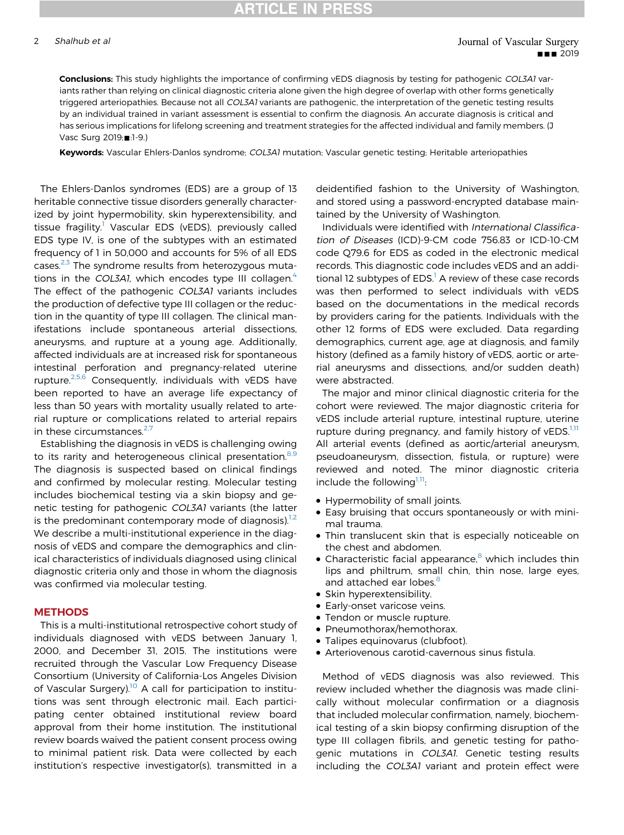## 2 Shalhub et al  $J$ ournal of Vascular Surgery **BB** 2019

Conclusions: This study highlights the importance of confirming vEDS diagnosis by testing for pathogenic COL3A1 variants rather than relying on clinical diagnostic criteria alone given the high degree of overlap with other forms genetically triggered arteriopathies. Because not all COL3A1 variants are pathogenic, the interpretation of the genetic testing results by an individual trained in variant assessment is essential to confirm the diagnosis. An accurate diagnosis is critical and has serious implications for lifelong screening and treatment strategies for the affected individual and family members. (J Vasc Surg 2019; 1-9.)

Keywords: Vascular Ehlers-Danlos syndrome; COL3A1 mutation; Vascular genetic testing; Heritable arteriopathies

The Ehlers-Danlos syndromes (EDS) are a group of 13 heritable connective tissue disorders generally characterized by joint hypermobility, skin hyperextensibility, and tissue fragility.<sup>[1](#page-7-0)</sup> Vascular EDS (vEDS), previously called EDS type IV, is one of the subtypes with an estimated frequency of 1 in 50,000 and accounts for 5% of all EDS cases. $2,3$  The syndrome results from heterozygous mutations in the COL3A1, which encodes type III collagen. $4$ The effect of the pathogenic COL3A1 variants includes the production of defective type III collagen or the reduction in the quantity of type III collagen. The clinical manifestations include spontaneous arterial dissections, aneurysms, and rupture at a young age. Additionally, affected individuals are at increased risk for spontaneous intestinal perforation and pregnancy-related uterine rupture. $2.5,6$  Consequently, individuals with vEDS have been reported to have an average life expectancy of less than 50 years with mortality usually related to arterial rupture or complications related to arterial repairs in these circumstances. $2.7$ 

Establishing the diagnosis in vEDS is challenging owing to its rarity and heterogeneous clinical presentation.<sup>[8,9](#page-7-0)</sup> The diagnosis is suspected based on clinical findings and confirmed by molecular resting. Molecular testing includes biochemical testing via a skin biopsy and genetic testing for pathogenic COL3A1 variants (the latter is the predominant contemporary mode of diagnosis).<sup>[1,2](#page-7-0)</sup> We describe a multi-institutional experience in the diagnosis of vEDS and compare the demographics and clinical characteristics of individuals diagnosed using clinical diagnostic criteria only and those in whom the diagnosis was confirmed via molecular testing.

#### **METHODS**

This is a multi-institutional retrospective cohort study of individuals diagnosed with vEDS between January 1, 2000, and December 31, 2015. The institutions were recruited through the Vascular Low Frequency Disease Consortium (University of California-Los Angeles Division of Vascular Surgery).<sup>[10](#page-7-0)</sup> A call for participation to institutions was sent through electronic mail. Each participating center obtained institutional review board approval from their home institution. The institutional review boards waived the patient consent process owing to minimal patient risk. Data were collected by each institution's respective investigator(s), transmitted in a

deidentified fashion to the University of Washington, and stored using a password-encrypted database maintained by the University of Washington.

Individuals were identified with International Classification of Diseases (ICD)-9-CM code 756.83 or ICD-10-CM code Q79.6 for EDS as coded in the electronic medical records. This diagnostic code includes vEDS and an addi-tional [1](#page-7-0)2 subtypes of  $EDS<sup>1</sup>$  A review of these case records was then performed to select individuals with vEDS based on the documentations in the medical records by providers caring for the patients. Individuals with the other 12 forms of EDS were excluded. Data regarding demographics, current age, age at diagnosis, and family history (defined as a family history of vEDS, aortic or arterial aneurysms and dissections, and/or sudden death) were abstracted.

The major and minor clinical diagnostic criteria for the cohort were reviewed. The major diagnostic criteria for vEDS include arterial rupture, intestinal rupture, uterine rupture during pregnancy, and family history of vEDS.<sup>[1,11](#page-7-0)</sup> All arterial events (defined as aortic/arterial aneurysm, pseudoaneurysm, dissection, fistula, or rupture) were reviewed and noted. The minor diagnostic criteria include the following $^{1,11}$  $^{1,11}$  $^{1,11}$ .

- Hypermobility of small joints.
- Easy bruising that occurs spontaneously or with minimal trauma.
- Thin translucent skin that is especially noticeable on the chest and abdomen.
- $\bullet$  Characteristic facial appearance,<sup>[8](#page-7-0)</sup> which includes thin lips and philtrum, small chin, thin nose, large eyes, and attached ear lobes.<sup>[8](#page-7-0)</sup>
- Skin hyperextensibility.
- Early-onset varicose veins.
- Tendon or muscle rupture.
- Pneumothorax/hemothorax.
- Talipes equinovarus (clubfoot).
- Arteriovenous carotid-cavernous sinus fistula.

Method of vEDS diagnosis was also reviewed. This review included whether the diagnosis was made clinically without molecular confirmation or a diagnosis that included molecular confirmation, namely, biochemical testing of a skin biopsy confirming disruption of the type III collagen fibrils, and genetic testing for pathogenic mutations in COL3A1. Genetic testing results including the COL3A1 variant and protein effect were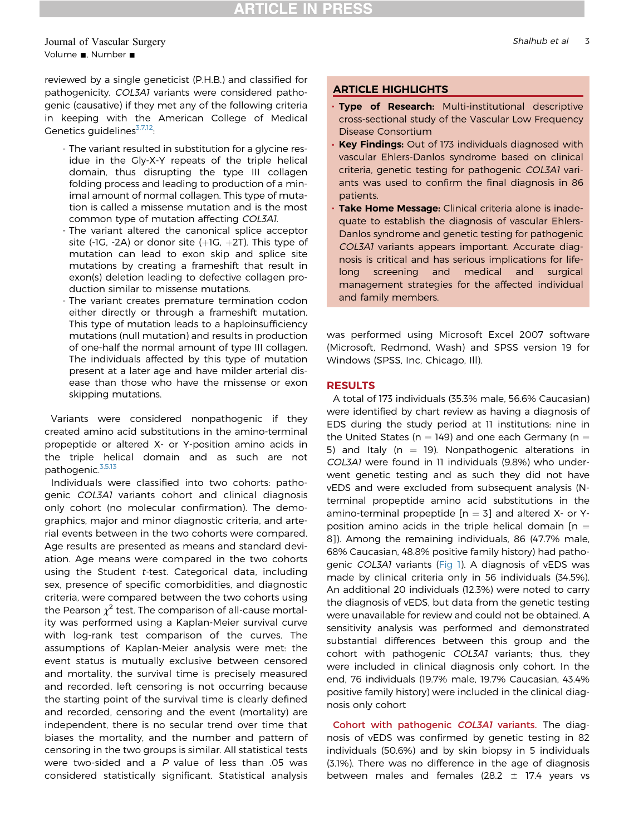reviewed by a single geneticist (P.H.B.) and classified for pathogenicity. COL3A1 variants were considered pathogenic (causative) if they met any of the following criteria in keeping with the American College of Medical Genetics guidelines $3,7,12$ :

- The variant resulted in substitution for a glycine residue in the Gly-X-Y repeats of the triple helical domain, thus disrupting the type III collagen folding process and leading to production of a minimal amount of normal collagen. This type of mutation is called a missense mutation and is the most common type of mutation affecting COL3A1.
- The variant altered the canonical splice acceptor site (-1G, -2A) or donor site  $(+1G, +2T)$ . This type of mutation can lead to exon skip and splice site mutations by creating a frameshift that result in exon(s) deletion leading to defective collagen production similar to missense mutations.
- The variant creates premature termination codon either directly or through a frameshift mutation. This type of mutation leads to a haploinsufficiency mutations (null mutation) and results in production of one-half the normal amount of type III collagen. The individuals affected by this type of mutation present at a later age and have milder arterial disease than those who have the missense or exon skipping mutations.

Variants were considered nonpathogenic if they created amino acid substitutions in the amino-terminal propeptide or altered X- or Y-position amino acids in the triple helical domain and as such are not pathogenic.<sup>[3,5,13](#page-7-0)</sup>

Individuals were classified into two cohorts: pathogenic COL3A1 variants cohort and clinical diagnosis only cohort (no molecular confirmation). The demographics, major and minor diagnostic criteria, and arterial events between in the two cohorts were compared. Age results are presented as means and standard deviation. Age means were compared in the two cohorts using the Student t-test. Categorical data, including sex, presence of specific comorbidities, and diagnostic criteria, were compared between the two cohorts using the Pearson  $\chi^2$  test. The comparison of all-cause mortality was performed using a Kaplan-Meier survival curve with log-rank test comparison of the curves. The assumptions of Kaplan-Meier analysis were met: the event status is mutually exclusive between censored and mortality, the survival time is precisely measured and recorded, left censoring is not occurring because the starting point of the survival time is clearly defined and recorded, censoring and the event (mortality) are independent, there is no secular trend over time that biases the mortality, and the number and pattern of censoring in the two groups is similar. All statistical tests were two-sided and a <sup>P</sup> value of less than .05 was considered statistically significant. Statistical analysis

## ARTICLE HIGHLIGHTS

- · Type of Research: Multi-institutional descriptive cross-sectional study of the Vascular Low Frequency Disease Consortium
- Key Findings: Out of 173 individuals diagnosed with vascular Ehlers-Danlos syndrome based on clinical criteria, genetic testing for pathogenic COL3A1 variants was used to confirm the final diagnosis in 86 patients.
- · Take Home Message: Clinical criteria alone is inadequate to establish the diagnosis of vascular Ehlers-Danlos syndrome and genetic testing for pathogenic COL3A1 variants appears important. Accurate diagnosis is critical and has serious implications for lifelong screening and medical and surgical management strategies for the affected individual and family members.

was performed using Microsoft Excel 2007 software (Microsoft, Redmond, Wash) and SPSS version 19 for Windows (SPSS, Inc, Chicago, Ill).

### RESULTS

A total of 173 individuals (35.3% male, 56.6% Caucasian) were identified by chart review as having a diagnosis of EDS during the study period at 11 institutions: nine in the United States (n = 149) and one each Germany (n = 5) and Italy ( $n = 19$ ). Nonpathogenic alterations in COL3A1 were found in 11 individuals (9.8%) who underwent genetic testing and as such they did not have vEDS and were excluded from subsequent analysis (Nterminal propeptide amino acid substitutions in the amino-terminal propeptide  $[n = 3]$  and altered X- or Yposition amino acids in the triple helical domain  $[n =$ 8]). Among the remaining individuals, 86 (47.7% male, 68% Caucasian, 48.8% positive family history) had pathogenic COL3A1 variants ([Fig 1](#page-3-0)). A diagnosis of vEDS was made by clinical criteria only in 56 individuals (34.5%). An additional 20 individuals (12.3%) were noted to carry the diagnosis of vEDS, but data from the genetic testing were unavailable for review and could not be obtained. A sensitivity analysis was performed and demonstrated substantial differences between this group and the cohort with pathogenic COL3A1 variants; thus, they were included in clinical diagnosis only cohort. In the end, 76 individuals (19.7% male, 19.7% Caucasian, 43.4% positive family history) were included in the clinical diagnosis only cohort

Cohort with pathogenic COL3A1 variants. The diagnosis of vEDS was confirmed by genetic testing in 82 individuals (50.6%) and by skin biopsy in 5 individuals (3.1%). There was no difference in the age of diagnosis between males and females (28.2  $\pm$  17.4 years vs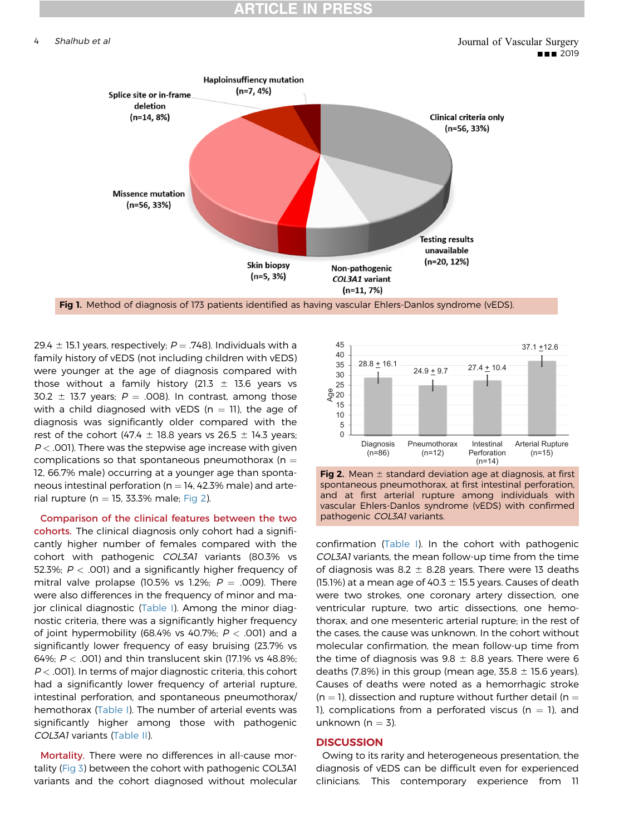<span id="page-3-0"></span>

29.4  $\pm$  15.1 years, respectively; P = .748). Individuals with a family history of vEDS (not including children with vEDS) were younger at the age of diagnosis compared with those without a family history (21.3  $\pm$  13.6 years vs 30.2  $\pm$  13.7 years; P = .008). In contrast, among those with a child diagnosed with vEDS ( $n = 11$ ), the age of diagnosis was significantly older compared with the rest of the cohort (47.4  $\pm$  18.8 years vs 26.5  $\pm$  14.3 years;  $P < 0.001$ ). There was the stepwise age increase with given complications so that spontaneous pneumothorax ( $n =$ 12, 66.7% male) occurring at a younger age than spontaneous intestinal perforation ( $n = 14$ , 42.3% male) and arterial rupture ( $n = 15$ , 33.3% male; Fig 2).

Comparison of the clinical features between the two cohorts. The clinical diagnosis only cohort had a significantly higher number of females compared with the cohort with pathogenic COL3A1 variants (80.3% vs 52.3%;  $P < .001$ ) and a significantly higher frequency of mitral valve prolapse (10.5% vs 1.2%;  $P = .009$ ). There were also differences in the frequency of minor and major clinical diagnostic ([Table I\)](#page-4-0). Among the minor diagnostic criteria, there was a significantly higher frequency of joint hypermobility (68.4% vs 40.7%;  $P < .001$ ) and a significantly lower frequency of easy bruising (23.7% vs 64%;  $P < .001$ ) and thin translucent skin (17.1% vs 48.8%;  $P <$  .001). In terms of major diagnostic criteria, this cohort had a significantly lower frequency of arterial rupture, intestinal perforation, and spontaneous pneumothorax/ hemothorax [\(Table I\)](#page-4-0). The number of arterial events was significantly higher among those with pathogenic COL3A1 variants [\(Table II](#page-5-0)).

Mortality. There were no differences in all-cause mortality [\(Fig 3](#page-6-0)) between the cohort with pathogenic COL3A1 variants and the cohort diagnosed without molecular



Fig 2. Mean  $\pm$  standard deviation age at diagnosis, at first spontaneous pneumothorax, at first intestinal perforation, and at first arterial rupture among individuals with vascular Ehlers-Danlos syndrome (vEDS) with confirmed pathogenic COL3A1 variants.

confirmation ([Table I\)](#page-4-0). In the cohort with pathogenic COL3A1 variants, the mean follow-up time from the time of diagnosis was 8.2  $\pm$  8.28 years. There were 13 deaths (15.1%) at a mean age of 40.3  $\pm$  15.5 years. Causes of death were two strokes, one coronary artery dissection, one ventricular rupture, two artic dissections, one hemothorax, and one mesenteric arterial rupture; in the rest of the cases, the cause was unknown. In the cohort without molecular confirmation, the mean follow-up time from the time of diagnosis was  $9.8 \pm 8.8$  years. There were 6 deaths (7.8%) in this group (mean age, 35.8  $\pm$  15.6 years). Causes of deaths were noted as a hemorrhagic stroke  $(n = 1)$ , dissection and rupture without further detail (n = 1), complications from a perforated viscus ( $n = 1$ ), and unknown ( $n = 3$ ).

### **DISCUSSION**

Owing to its rarity and heterogeneous presentation, the diagnosis of vEDS can be difficult even for experienced clinicians. This contemporary experience from 11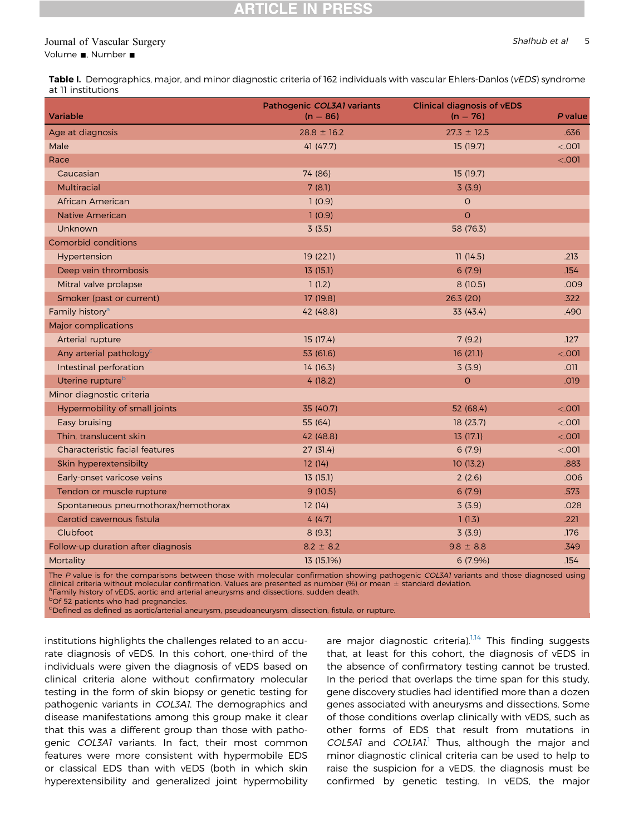# **ARTICLE IN PRESS**

# <span id="page-4-0"></span>Journal of Vascular Surgery Shalhub et al 5

Volume **.**, Number **.** 

Table I. Demographics, major, and minor diagnostic criteria of 162 individuals with vascular Ehlers-Danlos (vEDS) syndrome at 11 institutions

| <b>Variable</b>                     | Pathogenic COL3A1 variants<br>$(n = 86)$ | <b>Clinical diagnosis of vEDS</b><br>$(n = 76)$ | P value |
|-------------------------------------|------------------------------------------|-------------------------------------------------|---------|
| Age at diagnosis                    | $28.8 \pm 16.2$                          | $27.3 \pm 12.5$                                 | .636    |
| Male                                | 41 (47.7)                                | 15 (19.7)                                       | < .001  |
| Race                                |                                          |                                                 | < 0.001 |
| Caucasian                           | 74 (86)                                  | 15 (19.7)                                       |         |
| <b>Multiracial</b>                  | 7(8.1)                                   | 3(3.9)                                          |         |
| African American                    | 1(0.9)                                   | O                                               |         |
| Native American                     | 1(0.9)                                   | $\overline{O}$                                  |         |
| Unknown                             | 3(3.5)                                   | 58 (76.3)                                       |         |
| Comorbid conditions                 |                                          |                                                 |         |
| Hypertension                        | 19 (22.1)                                | 11(14.5)                                        | .213    |
| Deep vein thrombosis                | 13(15.1)                                 | 6(7.9)                                          | .154    |
| Mitral valve prolapse               | 1(1.2)                                   | 8 (10.5)                                        | .009    |
| Smoker (past or current)            | 17 (19.8)                                | 26.3 (20)                                       | .322    |
| Family history <sup>a</sup>         | 42 (48.8)                                | 33 (43.4)                                       | .490    |
| Major complications                 |                                          |                                                 |         |
| Arterial rupture                    | 15(17.4)                                 | 7(9.2)                                          | .127    |
| Any arterial pathology <sup>c</sup> | 53 (61.6)                                | 16(21.1)                                        | < 0.001 |
| Intestinal perforation              | 14 (16.3)                                | 3(3.9)                                          | .011    |
| Uterine rupture <sup>b</sup>        | 4(18.2)                                  | $\circ$                                         | .019    |
| Minor diagnostic criteria           |                                          |                                                 |         |
| Hypermobility of small joints       | 35 (40.7)                                | 52 (68.4)                                       | < .001  |
| Easy bruising                       | 55 (64)                                  | 18(23.7)                                        | < 0.001 |
| Thin, translucent skin              | 42 (48.8)                                | 13(17.1)                                        | < 0.001 |
| Characteristic facial features      | 27 (31.4)                                | 6(7.9)                                          | < .001  |
| Skin hyperextensibilty              | 12(14)                                   | 10 (13.2)                                       | .883    |
| Early-onset varicose veins          | 13(15.1)                                 | 2(2.6)                                          | .006    |
| Tendon or muscle rupture            | 9(10.5)                                  | 6(7.9)                                          | .573    |
| Spontaneous pneumothorax/hemothorax | 12(14)                                   | 3(3.9)                                          | .028    |
| Carotid cavernous fistula           | 4(4.7)                                   | 1(1.3)                                          | .221    |
| Clubfoot                            | 8(9.3)                                   | 3(3.9)                                          | .176    |
| Follow-up duration after diagnosis  | $8.2 \pm 8.2$                            | $9.8 \pm 8.8$                                   | .349    |
| Mortality                           | 13 (15.1%)                               | 6(7.9%)                                         | .154    |

The P value is for the comparisons between those with molecular confirmation showing pathogenic COL3A1 variants and those diagnosed using clinical criteria without molecular confirmation. Values are presented as number (%) or mean ± standard deviation.<br><sup>a</sup>Family history of vEDS, aortic and arterial aneurysms and dissections, sudden death.

<sup>b</sup>Of 52 patients who had pregnancies.

 $\textdegree$ Defined as defined as aortic/arterial aneurysm, pseudoaneurysm, dissection, fistula, or rupture.

institutions highlights the challenges related to an accurate diagnosis of vEDS. In this cohort, one-third of the individuals were given the diagnosis of vEDS based on clinical criteria alone without confirmatory molecular testing in the form of skin biopsy or genetic testing for pathogenic variants in COL3A1. The demographics and disease manifestations among this group make it clear that this was a different group than those with pathogenic COL3A1 variants. In fact, their most common features were more consistent with hypermobile EDS or classical EDS than with vEDS (both in which skin hyperextensibility and generalized joint hypermobility are major diagnostic criteria).<sup>[1,14](#page-7-0)</sup> This finding suggests that, at least for this cohort, the diagnosis of vEDS in the absence of confirmatory testing cannot be trusted. In the period that overlaps the time span for this study, gene discovery studies had identified more than a dozen genes associated with aneurysms and dissections. Some of those conditions overlap clinically with vEDS, such as other forms of EDS that result from mutations in COL5A[1](#page-7-0) and COL1A1.<sup>1</sup> Thus, although the major and minor diagnostic clinical criteria can be used to help to raise the suspicion for a vEDS, the diagnosis must be confirmed by genetic testing. In vEDS, the major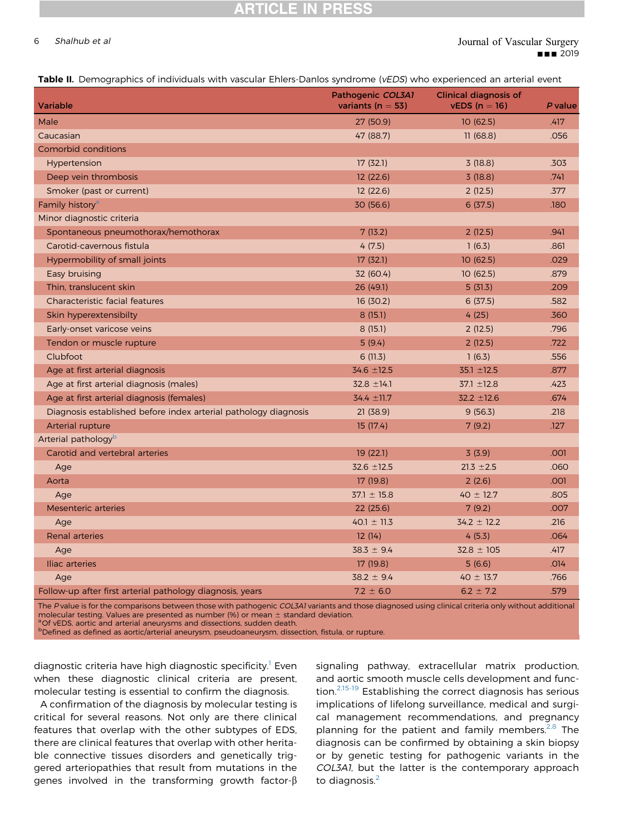# **RTICLE IN PRESS**

<span id="page-5-0"></span>Table II. Demographics of individuals with vascular Ehlers-Danlos syndrome (vEDS) who experienced an arterial event

| <b>Variable</b>                                                 | Pathogenic COL3A1<br>variants (n $=$ 53) | Clinical diagnosis of<br>$vEDS(n = 16)$ | P value    |
|-----------------------------------------------------------------|------------------------------------------|-----------------------------------------|------------|
| Male                                                            | 27 (50.9)                                | 10(62.5)                                | .417       |
| Caucasian                                                       | 47 (88.7)                                | 11(68.8)                                | .056       |
| Comorbid conditions                                             |                                          |                                         |            |
| <b>Hypertension</b>                                             | 17(32.1)                                 | 3(18.8)                                 | .303       |
| Deep vein thrombosis                                            | 12(22.6)                                 | 3(18.8)                                 | .741       |
| Smoker (past or current)                                        | 12(22.6)                                 | 2(12.5)                                 | .377       |
| Family history <sup>a</sup>                                     | 30 (56.6)                                | 6(37.5)                                 | .180       |
| Minor diagnostic criteria                                       |                                          |                                         |            |
| Spontaneous pneumothorax/hemothorax                             | 7(13.2)                                  | 2(12.5)                                 | .941       |
| Carotid-cavernous fistula                                       | 4(7.5)                                   | 1(6.3)                                  | .861       |
| Hypermobility of small joints                                   | 17(32.1)                                 | 10(62.5)                                | .029       |
| Easy bruising                                                   | 32 (60.4)                                | 10(62.5)                                | .879       |
| Thin, translucent skin                                          | 26 (49.1)                                | 5(31.3)                                 | .209       |
| Characteristic facial features                                  | 16 (30.2)                                | 6(37.5)                                 | .582       |
| Skin hyperextensibilty                                          | 8(15.1)                                  | 4(25)                                   | .360       |
| Early-onset varicose veins                                      | 8(15.1)                                  | 2(12.5)                                 | .796       |
| Tendon or muscle rupture                                        | 5(9.4)                                   | 2(12.5)                                 | .722       |
| Clubfoot                                                        | 6(11.3)                                  | 1(6.3)                                  | .556       |
| Age at first arterial diagnosis                                 | 34.6 ±12.5                               | 35.1 ±12.5                              | .877       |
| Age at first arterial diagnosis (males)                         | $32.8 \pm 14.1$                          | $37.1 \pm 12.8$                         | .423       |
| Age at first arterial diagnosis (females)                       | 34.4 ±11.7                               | $32.2 \pm 12.6$                         | .674       |
| Diagnosis established before index arterial pathology diagnosis | 21(38.9)                                 | 9(56.3)                                 | .218       |
| Arterial rupture                                                | 15 (17.4)                                | 7(9.2)                                  | .127       |
| Arterial pathology <sup>b</sup>                                 |                                          |                                         |            |
| Carotid and vertebral arteries                                  | 19(22.1)                                 | 3(3.9)                                  | <b>CO.</b> |
| Age                                                             | $32.6 \pm 12.5$                          | $21.3 \pm 2.5$                          | .060       |
| Aorta                                                           | 17 (19.8)                                | 2(2.6)                                  | <b>CO.</b> |
| Age                                                             | $37.1 \pm 15.8$                          | $40 \pm 12.7$                           | .805       |
| Mesenteric arteries                                             | 22(25.6)                                 | 7(9.2)                                  | .007       |
| Age                                                             | $40.1 \pm 11.3$                          | $34.2 \pm 12.2$                         | .216       |
| <b>Renal arteries</b>                                           | 12(14)                                   | 4(5.3)                                  | .064       |
| Age                                                             | $38.3 \pm 9.4$                           | $32.8 \pm 105$                          | .417       |
| Iliac arteries                                                  | 17 (19.8)                                | 5(6.6)                                  | .014       |
| Age                                                             | $38.2 \pm 9.4$                           | $40 \pm 13.7$                           | .766       |
| Follow-up after first arterial pathology diagnosis, years       | $7.2 \pm 6.0$                            | $6.2 \pm 7.2$                           | .579       |

The P value is for the comparisons between those with pathogenic COL3A1 variants and those diagnosed using clinical criteria only without additional molecular testing. Values are presented as number (%) or mean  $\pm$  standard deviation.  $a^a$ Of vEDS, aortic and arterial aneurysms and dissections, sudden death.

<sup>b</sup>Defined as defined as aortic/arterial aneurysm, pseudoaneurysm, dissection, fistula, or rupture.

diagnostic criteria have high diagnostic specificity.<sup>[1](#page-7-0)</sup> Even when these diagnostic clinical criteria are present, molecular testing is essential to confirm the diagnosis.

A confirmation of the diagnosis by molecular testing is critical for several reasons. Not only are there clinical features that overlap with the other subtypes of EDS, there are clinical features that overlap with other heritable connective tissues disorders and genetically triggered arteriopathies that result from mutations in the genes involved in the transforming growth factor- $\beta$  signaling pathway, extracellular matrix production, and aortic smooth muscle cells development and func-tion.<sup>[2,15-19](#page-7-0)</sup> Establishing the correct diagnosis has serious implications of lifelong surveillance, medical and surgical management recommendations, and pregnancy planning for the patient and family members.<sup>[2,8](#page-7-0)</sup> The diagnosis can be confirmed by obtaining a skin biopsy or by genetic testing for pathogenic variants in the COL3A1, but the latter is the contemporary approach to diagnosis.<sup>[2](#page-7-0)</sup>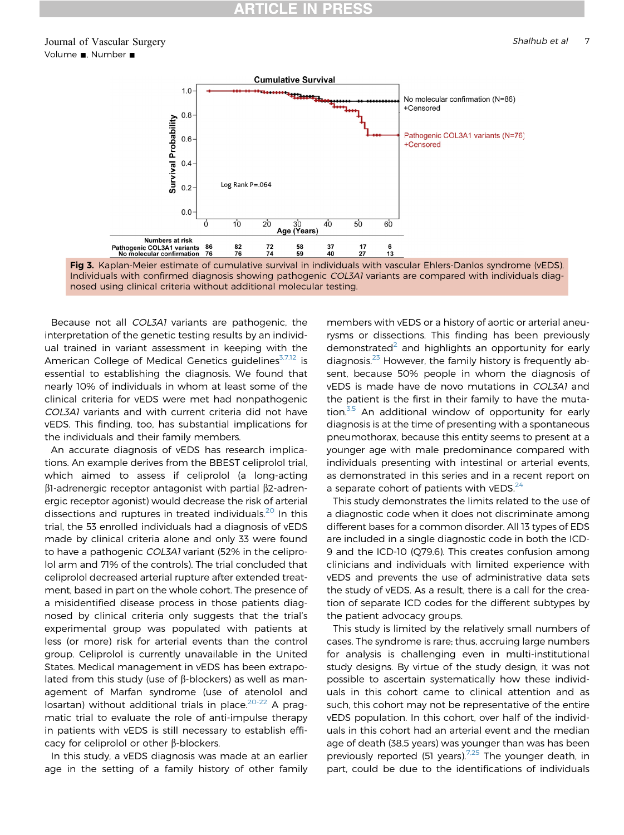<span id="page-6-0"></span>



Because not all COL3A1 variants are pathogenic, the interpretation of the genetic testing results by an individual trained in variant assessment in keeping with the American College of Medical Genetics guidelines $37,12$  is essential to establishing the diagnosis. We found that nearly 10% of individuals in whom at least some of the clinical criteria for vEDS were met had nonpathogenic COL3A1 variants and with current criteria did not have vEDS. This finding, too, has substantial implications for the individuals and their family members.

An accurate diagnosis of vEDS has research implications. An example derives from the BBEST celiprolol trial, which aimed to assess if celiprolol (a long-acting  $\beta$ 1-adrenergic receptor antagonist with partial  $\beta$ 2-adrenergic receptor agonist) would decrease the risk of arterial dissections and ruptures in treated individuals.<sup>[20](#page-8-0)</sup> In this trial, the 53 enrolled individuals had a diagnosis of vEDS made by clinical criteria alone and only 33 were found to have a pathogenic COL3A1 variant (52% in the celiprolol arm and 71% of the controls). The trial concluded that celiprolol decreased arterial rupture after extended treatment, based in part on the whole cohort. The presence of a misidentified disease process in those patients diagnosed by clinical criteria only suggests that the trial's experimental group was populated with patients at less (or more) risk for arterial events than the control group. Celiprolol is currently unavailable in the United States. Medical management in vEDS has been extrapolated from this study (use of  $\beta$ -blockers) as well as management of Marfan syndrome (use of atenolol and losartan) without additional trials in place.<sup>[20-22](#page-8-0)</sup> A pragmatic trial to evaluate the role of anti-impulse therapy in patients with vEDS is still necessary to establish efficacy for celiprolol or other  $\beta$ -blockers.

In this study, a vEDS diagnosis was made at an earlier age in the setting of a family history of other family members with vEDS or a history of aortic or arterial aneurysms or dissections. This finding has been previously demonstrated $2$  and highlights an opportunity for early diagnosis. $23$  However, the family history is frequently absent, because 50% people in whom the diagnosis of vEDS is made have de novo mutations in COL3A1 and the patient is the first in their family to have the mutation. $3,5$  An additional window of opportunity for early diagnosis is at the time of presenting with a spontaneous pneumothorax, because this entity seems to present at a younger age with male predominance compared with individuals presenting with intestinal or arterial events, as demonstrated in this series and in a recent report on a separate cohort of patients with  $vEDS.<sup>24</sup>$  $vEDS.<sup>24</sup>$  $vEDS.<sup>24</sup>$ 

This study demonstrates the limits related to the use of a diagnostic code when it does not discriminate among different bases for a common disorder. All 13 types of EDS are included in a single diagnostic code in both the ICD-9 and the ICD-10 (Q79.6). This creates confusion among clinicians and individuals with limited experience with vEDS and prevents the use of administrative data sets the study of vEDS. As a result, there is a call for the creation of separate ICD codes for the different subtypes by the patient advocacy groups.

This study is limited by the relatively small numbers of cases. The syndrome is rare; thus, accruing large numbers for analysis is challenging even in multi-institutional study designs. By virtue of the study design, it was not possible to ascertain systematically how these individuals in this cohort came to clinical attention and as such, this cohort may not be representative of the entire vEDS population. In this cohort, over half of the individuals in this cohort had an arterial event and the median age of death (38.5 years) was younger than was has been previously reported (51 years).<sup>[7,25](#page-7-0)</sup> The younger death, in part, could be due to the identifications of individuals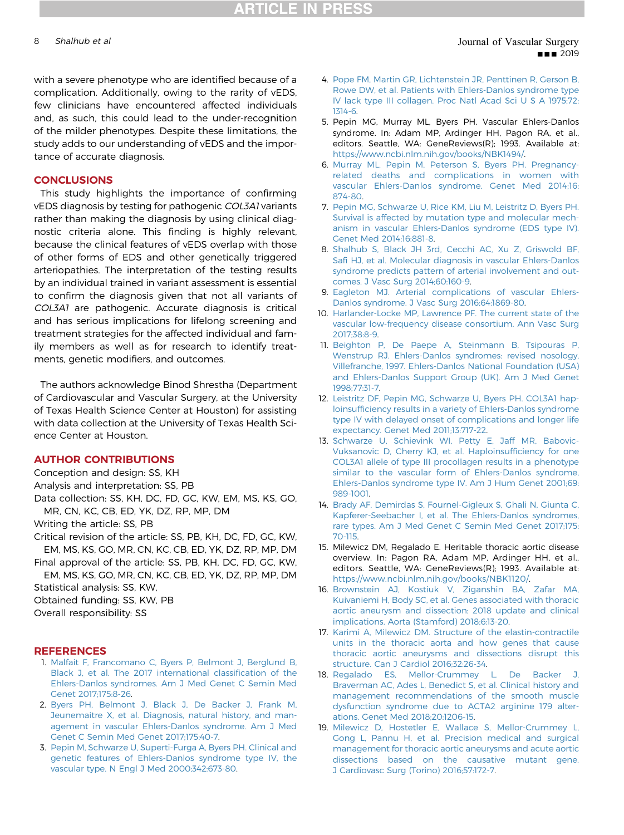<span id="page-7-0"></span>with a severe phenotype who are identified because of a complication. Additionally, owing to the rarity of vEDS, few clinicians have encountered affected individuals and, as such, this could lead to the under-recognition of the milder phenotypes. Despite these limitations, the study adds to our understanding of vEDS and the importance of accurate diagnosis.

#### **CONCLUSIONS**

This study highlights the importance of confirming vEDS diagnosis by testing for pathogenic COL3A1 variants rather than making the diagnosis by using clinical diagnostic criteria alone. This finding is highly relevant, because the clinical features of vEDS overlap with those of other forms of EDS and other genetically triggered arteriopathies. The interpretation of the testing results by an individual trained in variant assessment is essential to confirm the diagnosis given that not all variants of COL3A1 are pathogenic. Accurate diagnosis is critical and has serious implications for lifelong screening and treatment strategies for the affected individual and family members as well as for research to identify treatments, genetic modifiers, and outcomes.

The authors acknowledge Binod Shrestha (Department of Cardiovascular and Vascular Surgery, at the University of Texas Health Science Center at Houston) for assisting with data collection at the University of Texas Health Science Center at Houston.

# AUTHOR CONTRIBUTIONS

- Conception and design: SS, KH
- Analysis and interpretation: SS, PB
- Data collection: SS, KH, DC, FD, GC, KW, EM, MS, KS, GO, MR, CN, KC, CB, ED, YK, DZ, RP, MP, DM
- Writing the article: SS, PB
- Critical revision of the article: SS, PB, KH, DC, FD, GC, KW, EM, MS, KS, GO, MR, CN, KC, CB, ED, YK, DZ, RP, MP, DM
- Final approval of the article: SS, PB, KH, DC, FD, GC, KW, EM, MS, KS, GO, MR, CN, KC, CB, ED, YK, DZ, RP, MP, DM
- Statistical analysis: SS, KW,
- Obtained funding: SS, KW, PB
- Overall responsibility: SS

### **REFERENCES**

- 1. [Malfait F, Francomano C, Byers P, Belmont J, Berglund B,](http://refhub.elsevier.com/S0741-5214(19)31330-8/sref1) [Black J, et al. The 2017 international classi](http://refhub.elsevier.com/S0741-5214(19)31330-8/sref1)fication of the [Ehlers-Danlos syndromes. Am J Med Genet C Semin Med](http://refhub.elsevier.com/S0741-5214(19)31330-8/sref1) [Genet 2017;175:8-26.](http://refhub.elsevier.com/S0741-5214(19)31330-8/sref1)
- 2. [Byers PH, Belmont J, Black J, De Backer J, Frank M,](http://refhub.elsevier.com/S0741-5214(19)31330-8/sref2) [Jeunemaitre X, et al. Diagnosis, natural history, and man](http://refhub.elsevier.com/S0741-5214(19)31330-8/sref2)[agement in vascular Ehlers-Danlos syndrome. Am J Med](http://refhub.elsevier.com/S0741-5214(19)31330-8/sref2) [Genet C Semin Med Genet 2017;175:40-7.](http://refhub.elsevier.com/S0741-5214(19)31330-8/sref2)
- 3. [Pepin M, Schwarze U, Superti-Furga A, Byers PH. Clinical and](http://refhub.elsevier.com/S0741-5214(19)31330-8/sref3) [genetic features of Ehlers-Danlos syndrome type IV, the](http://refhub.elsevier.com/S0741-5214(19)31330-8/sref3) [vascular type. N Engl J Med 2000;342:673-80](http://refhub.elsevier.com/S0741-5214(19)31330-8/sref3).
- 4. [Pope FM, Martin GR, Lichtenstein JR, Penttinen R, Gerson B,](http://refhub.elsevier.com/S0741-5214(19)31330-8/sref4) [Rowe DW, et al. Patients with Ehlers-Danlos syndrome type](http://refhub.elsevier.com/S0741-5214(19)31330-8/sref4) [IV lack type III collagen. Proc Natl Acad Sci U S A 1975;72:](http://refhub.elsevier.com/S0741-5214(19)31330-8/sref4) [1314-6](http://refhub.elsevier.com/S0741-5214(19)31330-8/sref4).
- 5. Pepin MG, Murray ML, Byers PH. Vascular Ehlers-Danlos syndrome. In: Adam MP, Ardinger HH, Pagon RA, et al., editors. Seattle, WA: GeneReviews(R); 1993. Available at: <https://www.ncbi.nlm.nih.gov/books/NBK1494/>.
- 6. [Murray ML, Pepin M, Peterson S, Byers PH. Pregnancy](http://refhub.elsevier.com/S0741-5214(19)31330-8/sref6)[related deaths and complications in women with](http://refhub.elsevier.com/S0741-5214(19)31330-8/sref6) [vascular Ehlers-Danlos syndrome. Genet Med 2014;16:](http://refhub.elsevier.com/S0741-5214(19)31330-8/sref6) [874-80](http://refhub.elsevier.com/S0741-5214(19)31330-8/sref6).
- 7. [Pepin MG, Schwarze U, Rice KM, Liu M, Leistritz D, Byers PH.](http://refhub.elsevier.com/S0741-5214(19)31330-8/sref7) [Survival is affected by mutation type and molecular mech](http://refhub.elsevier.com/S0741-5214(19)31330-8/sref7)[anism in vascular Ehlers-Danlos syndrome \(EDS type IV\).](http://refhub.elsevier.com/S0741-5214(19)31330-8/sref7) [Genet Med 2014;16:881-8](http://refhub.elsevier.com/S0741-5214(19)31330-8/sref7).
- 8. [Shalhub S, Black JH 3rd, Cecchi AC, Xu Z, Griswold BF,](http://refhub.elsevier.com/S0741-5214(19)31330-8/sref8) Safi [HJ, et al. Molecular diagnosis in vascular Ehlers-Danlos](http://refhub.elsevier.com/S0741-5214(19)31330-8/sref8) [syndrome predicts pattern of arterial involvement and out](http://refhub.elsevier.com/S0741-5214(19)31330-8/sref8)[comes. J Vasc Surg 2014;60:160-9](http://refhub.elsevier.com/S0741-5214(19)31330-8/sref8).
- 9. [Eagleton MJ. Arterial complications of vascular Ehlers-](http://refhub.elsevier.com/S0741-5214(19)31330-8/sref9)[Danlos syndrome. J Vasc Surg 2016;64:1869-80.](http://refhub.elsevier.com/S0741-5214(19)31330-8/sref9)
- 10. [Harlander-Locke MP, Lawrence PF. The current state of the](http://refhub.elsevier.com/S0741-5214(19)31330-8/sref10) [vascular low-frequency disease consortium. Ann Vasc Surg](http://refhub.elsevier.com/S0741-5214(19)31330-8/sref10) [2017;38:8-9.](http://refhub.elsevier.com/S0741-5214(19)31330-8/sref10)
- 11. [Beighton P, De Paepe A, Steinmann B, Tsipouras P,](http://refhub.elsevier.com/S0741-5214(19)31330-8/sref11) [Wenstrup RJ. Ehlers-Danlos syndromes: revised nosology,](http://refhub.elsevier.com/S0741-5214(19)31330-8/sref11) [Villefranche, 1997. Ehlers-Danlos National Foundation \(USA\)](http://refhub.elsevier.com/S0741-5214(19)31330-8/sref11) [and Ehlers-Danlos Support Group \(UK\). Am J Med Genet](http://refhub.elsevier.com/S0741-5214(19)31330-8/sref11) [1998;77:31-7](http://refhub.elsevier.com/S0741-5214(19)31330-8/sref11).
- 12. [Leistritz DF, Pepin MG, Schwarze U, Byers PH. COL3A1 hap](http://refhub.elsevier.com/S0741-5214(19)31330-8/sref12)loinsuffi[ciency results in a variety of Ehlers-Danlos syndrome](http://refhub.elsevier.com/S0741-5214(19)31330-8/sref12) [type IV with delayed onset of complications and longer life](http://refhub.elsevier.com/S0741-5214(19)31330-8/sref12) [expectancy. Genet Med 2011;13:717-22.](http://refhub.elsevier.com/S0741-5214(19)31330-8/sref12)
- 13. [Schwarze U, Schievink WI, Petty E, Jaff MR, Babovic-](http://refhub.elsevier.com/S0741-5214(19)31330-8/sref13)[Vuksanovic D, Cherry KJ, et al. Haploinsuf](http://refhub.elsevier.com/S0741-5214(19)31330-8/sref13)ficiency for one [COL3A1 allele of type III procollagen results in a phenotype](http://refhub.elsevier.com/S0741-5214(19)31330-8/sref13) [similar to the vascular form of Ehlers-Danlos syndrome,](http://refhub.elsevier.com/S0741-5214(19)31330-8/sref13) [Ehlers-Danlos syndrome type IV. Am J Hum Genet 2001;69:](http://refhub.elsevier.com/S0741-5214(19)31330-8/sref13) [989-1001.](http://refhub.elsevier.com/S0741-5214(19)31330-8/sref13)
- 14. [Brady AF, Demirdas S, Fournel-Gigleux S, Ghali N, Giunta C,](http://refhub.elsevier.com/S0741-5214(19)31330-8/sref14) [Kapferer-Seebacher I, et al. The Ehlers-Danlos syndromes,](http://refhub.elsevier.com/S0741-5214(19)31330-8/sref14) [rare types. Am J Med Genet C Semin Med Genet 2017;175:](http://refhub.elsevier.com/S0741-5214(19)31330-8/sref14) [70-115.](http://refhub.elsevier.com/S0741-5214(19)31330-8/sref14)
- 15. Milewicz DM, Regalado E. Heritable thoracic aortic disease overview. In: Pagon RA, Adam MP, Ardinger HH, et al., editors. Seattle, WA: GeneReviews(R); 1993. Available at: <https://www.ncbi.nlm.nih.gov/books/NBK1120/>.
- 16. [Brownstein AJ, Kostiuk V, Ziganshin BA, Zafar MA,](http://refhub.elsevier.com/S0741-5214(19)31330-8/sref16) [Kuivaniemi H, Body SC, et al. Genes associated with thoracic](http://refhub.elsevier.com/S0741-5214(19)31330-8/sref16) [aortic aneurysm and dissection: 2018 update and clinical](http://refhub.elsevier.com/S0741-5214(19)31330-8/sref16) [implications. Aorta \(Stamford\) 2018;6:13-20.](http://refhub.elsevier.com/S0741-5214(19)31330-8/sref16)
- 17. [Karimi A, Milewicz DM. Structure of the elastin-contractile](http://refhub.elsevier.com/S0741-5214(19)31330-8/sref17) [units in the thoracic aorta and how genes that cause](http://refhub.elsevier.com/S0741-5214(19)31330-8/sref17) [thoracic aortic aneurysms and dissections disrupt this](http://refhub.elsevier.com/S0741-5214(19)31330-8/sref17) [structure. Can J Cardiol 2016;32:26-34.](http://refhub.elsevier.com/S0741-5214(19)31330-8/sref17)
- 18. [Regalado ES, Mellor-Crummey L, De Backer J,](http://refhub.elsevier.com/S0741-5214(19)31330-8/sref18) [Braverman AC, Ades L, Benedict S, et al. Clinical history and](http://refhub.elsevier.com/S0741-5214(19)31330-8/sref18) [management recommendations of the smooth muscle](http://refhub.elsevier.com/S0741-5214(19)31330-8/sref18) [dysfunction syndrome due to ACTA2 arginine 179 alter](http://refhub.elsevier.com/S0741-5214(19)31330-8/sref18)[ations. Genet Med 2018;20:1206-15](http://refhub.elsevier.com/S0741-5214(19)31330-8/sref18).
- 19. [Milewicz D, Hostetler E, Wallace S, Mellor-Crummey L,](http://refhub.elsevier.com/S0741-5214(19)31330-8/sref19) [Gong L, Pannu H, et al. Precision medical and surgical](http://refhub.elsevier.com/S0741-5214(19)31330-8/sref19) [management for thoracic aortic aneurysms and acute aortic](http://refhub.elsevier.com/S0741-5214(19)31330-8/sref19) [dissections based on the causative mutant gene.](http://refhub.elsevier.com/S0741-5214(19)31330-8/sref19) [J Cardiovasc Surg \(Torino\) 2016;57:172-7.](http://refhub.elsevier.com/S0741-5214(19)31330-8/sref19)